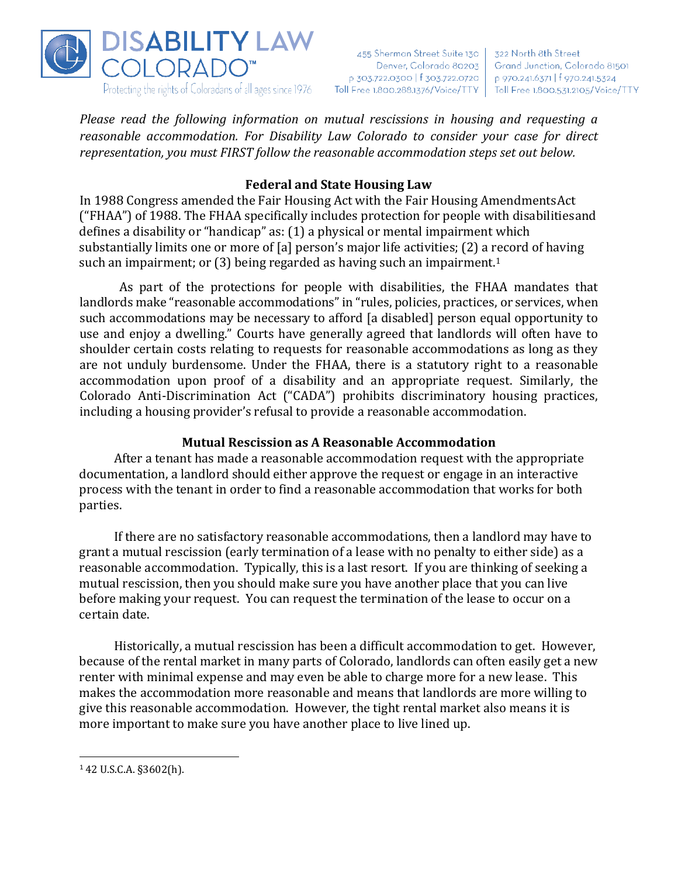

455 Sherman Street Suite 130 Denver, Colorado 80203 p 303.722.0300 | f 303.722.0720 | p 970.241.6371 | f 970.241.5324 Toll Free 1.800.288.1376/Voice/TTY | Toll Free 1.800.531.2105/Voice/TTY

322 North 8th Street Grand Junction, Colorado 81501

*Please read the following information on mutual rescissions in housing and requesting a reasonable accommodation. For Disability Law Colorado to consider your case for direct representation, you must FIRST follow the reasonable accommodation steps set out below.*

# **Federal and State Housing Law**

In 1988 Congress amended the Fair Housing Act with the Fair Housing AmendmentsAct ("FHAA") of 1988. The FHAA specifically includes protection for people with disabilitiesand defines a disability or "handicap" as: (1) a physical or mental impairment which substantially limits one or more of [a] person's major life activities; (2) a record of having such an impairment; or  $(3)$  being regarded as having such an impairment.<sup>1</sup>

As part of the protections for people with disabilities, the FHAA mandates that landlords make "reasonable accommodations" in "rules, policies, practices, or services, when such accommodations may be necessary to afford [a disabled] person equal opportunity to use and enjoy a dwelling." Courts have generally agreed that landlords will often have to shoulder certain costs relating to requests for reasonable accommodations as long as they are not unduly burdensome. Under the FHAA, there is a statutory right to a reasonable accommodation upon proof of a disability and an appropriate request. Similarly, the Colorado Anti-Discrimination Act ("CADA") prohibits discriminatory housing practices, including a housing provider's refusal to provide a reasonable accommodation.

### **Mutual Rescission as A Reasonable Accommodation**

After a tenant has made a reasonable accommodation request with the appropriate documentation, a landlord should either approve the request or engage in an interactive process with the tenant in order to find a reasonable accommodation that works for both parties.

If there are no satisfactory reasonable accommodations, then a landlord may have to grant a mutual rescission (early termination of a lease with no penalty to either side) as a reasonable accommodation. Typically, this is a last resort. If you are thinking of seeking a mutual rescission, then you should make sure you have another place that you can live before making your request. You can request the termination of the lease to occur on a certain date.

Historically, a mutual rescission has been a difficult accommodation to get. However, because of the rental market in many parts of Colorado, landlords can often easily get a new renter with minimal expense and may even be able to charge more for a new lease. This makes the accommodation more reasonable and means that landlords are more willing to give this reasonable accommodation. However, the tight rental market also means it is more important to make sure you have another place to live lined up.

 $142$  U.S.C.A. §3602(h).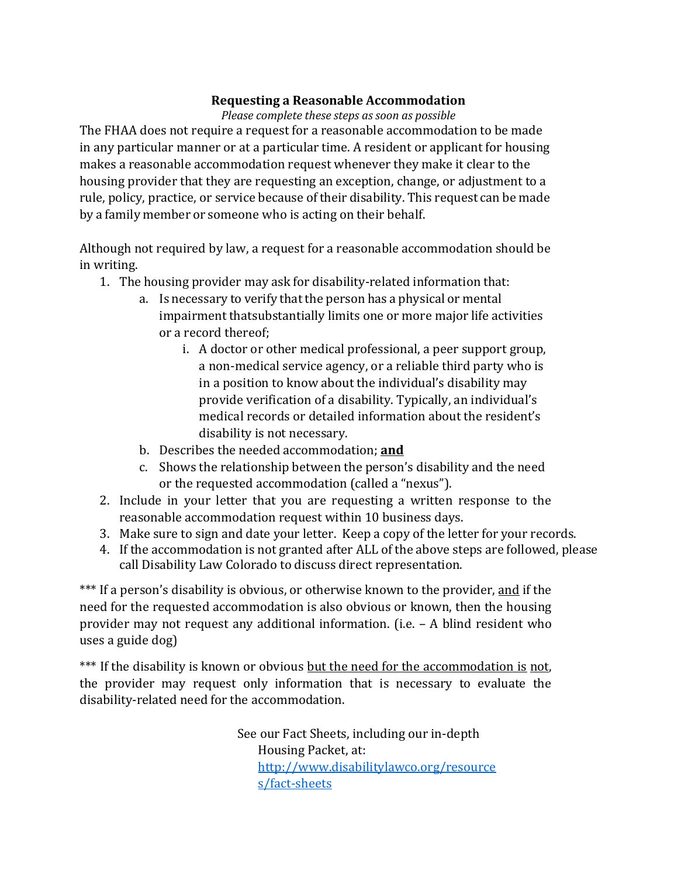## **Requesting a Reasonable Accommodation**

#### *Please complete these steps as soon as possible*

The FHAA does not require a request for a reasonable accommodation to be made in any particular manner or at a particular time. A resident or applicant for housing makes a reasonable accommodation request whenever they make it clear to the housing provider that they are requesting an exception, change, or adjustment to a rule, policy, practice, or service because of their disability. This request can be made by a family member or someone who is acting on their behalf.

Although not required by law, a request for a reasonable accommodation should be in writing.

- 1. The housing provider may ask for disability-related information that:
	- a. Is necessary to verify that the person has a physical or mental impairment thatsubstantially limits one or more major life activities or a record thereof;
		- i. A doctor or other medical professional, a peer support group, a non-medical service agency, or a reliable third party who is in a position to know about the individual's disability may provide verification of a disability. Typically, an individual's medical records or detailed information about the resident's disability is not necessary.
	- b. Describes the needed accommodation; **and**
	- c. Shows the relationship between the person's disability and the need or the requested accommodation (called a "nexus").
- 2. Include in your letter that you are requesting a written response to the reasonable accommodation request within 10 business days.
- 3. Make sure to sign and date your letter. Keep a copy of the letter for your records.
- 4. If the accommodation is not granted after ALL of the above steps are followed, please call Disability Law Colorado to discuss direct representation.

\*\*\* If a person's disability is obvious, or otherwise known to the provider, and if the need for the requested accommodation is also obvious or known, then the housing provider may not request any additional information. (i.e. – A blind resident who uses a guide dog)

\*\*\* If the disability is known or obvious but the need for the accommodation is not, the provider may request only information that is necessary to evaluate the disability-related need for the accommodation.

> See our Fact Sheets, including our in-depth Housing Packet, at: [http://www.disabilitylawco.org/resource](http://www.disabilitylawco.org/resources/fact-sheets) [s/fact-sheets](http://www.disabilitylawco.org/resources/fact-sheets)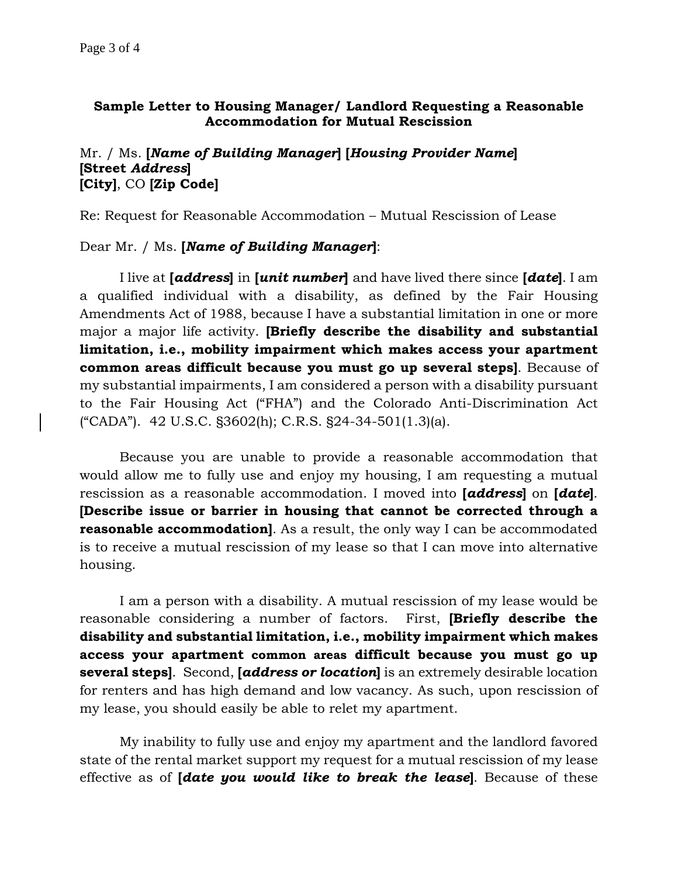## **Sample Letter to Housing Manager/ Landlord Requesting a Reasonable Accommodation for Mutual Rescission**

#### Mr. / Ms. **[***Name of Building Manager***] [***Housing Provider Name***] [Street** *Address***] [City]**, CO **[Zip Code]**

Re: Request for Reasonable Accommodation – Mutual Rescission of Lease

#### Dear Mr. / Ms. **[***Name of Building Manager***]**:

I live at **[***address***]** in **[***unit number***]** and have lived there since **[***date***]**. I am a qualified individual with a disability, as defined by the Fair Housing Amendments Act of 1988, because I have a substantial limitation in one or more major a major life activity. **[Briefly describe the disability and substantial limitation, i.e., mobility impairment which makes access your apartment common areas difficult because you must go up several steps]**. Because of my substantial impairments, I am considered a person with a disability pursuant to the Fair Housing Act ("FHA") and the Colorado Anti-Discrimination Act ("CADA"). 42 U.S.C. §3602(h); C.R.S. §24-34-501(1.3)(a).

Because you are unable to provide a reasonable accommodation that would allow me to fully use and enjoy my housing, I am requesting a mutual rescission as a reasonable accommodation. I moved into **[***address***]** on **[***date***]**. **[Describe issue or barrier in housing that cannot be corrected through a reasonable accommodation**]. As a result, the only way I can be accommodated is to receive a mutual rescission of my lease so that I can move into alternative housing.

I am a person with a disability. A mutual rescission of my lease would be reasonable considering a number of factors. First, **[Briefly describe the disability and substantial limitation, i.e., mobility impairment which makes access your apartment common areas difficult because you must go up several steps]**. Second, **[***address or location***]** is an extremely desirable location for renters and has high demand and low vacancy. As such, upon rescission of my lease, you should easily be able to relet my apartment.

My inability to fully use and enjoy my apartment and the landlord favored state of the rental market support my request for a mutual rescission of my lease effective as of **[***date you would like to break the lease***]**. Because of these